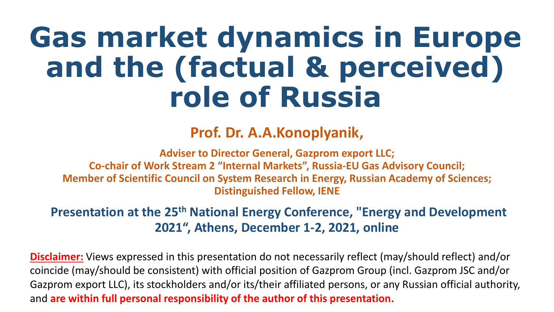# **Gas market dynamics in Europe and the (factual & perceived) role of Russia**

#### **Prof. Dr. A.A.Konoplyanik,**

**Adviser to Director General, Gazprom export LLC; Co-chair of Work Stream 2 "Internal Markets", Russia-EU Gas Advisory Council; Member of Scientific Council on System Research in Energy, Russian Academy of Sciences; Distinguished Fellow, IENE** 

#### **Presentation at the 25th National Energy Conference, "Energy and Development 2021", Athens, December 1-2, 2021, online**

**Disclaimer:** Views expressed in this presentation do not necessarily reflect (may/should reflect) and/or coincide (may/should be consistent) with official position of Gazprom Group (incl. Gazprom JSC and/or Gazprom export LLC), its stockholders and/or its/their affiliated persons, or any Russian official authority, and **are within full personal responsibility of the author of this presentation.**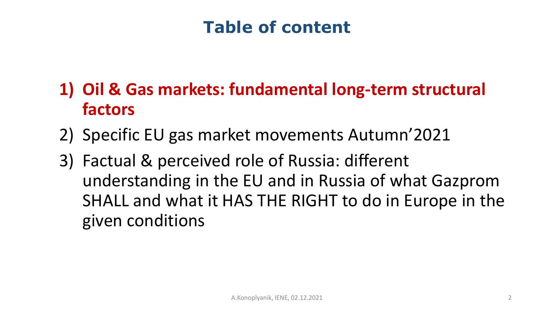# **Table of content**

# **1) Oil & Gas markets: fundamental long-term structural factors**

- 2) Specific EU gas market movements Autumn'2021
- 3) Factual & perceived role of Russia: different understanding in the EU and in Russia of what Gazprom SHALL and what it HAS THE RIGHT to do in Europe in the given conditions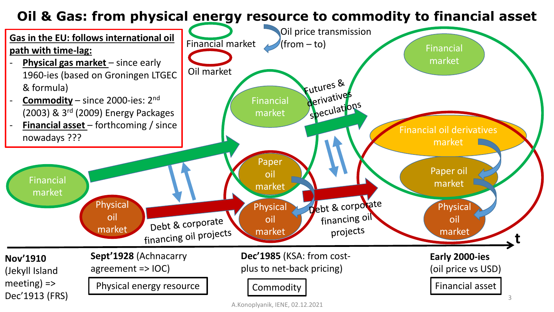#### **Oil & Gas: from physical energy resource to commodity to financial asset**

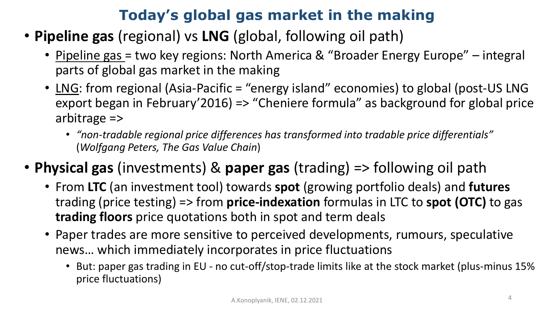### **Today's global gas market in the making**

- **Pipeline gas** (regional) vs **LNG** (global, following oil path)
	- Pipeline gas = two key regions: North America & "Broader Energy Europe" integral parts of global gas market in the making
	- LNG: from regional (Asia-Pacific = "energy island" economies) to global (post-US LNG export began in February'2016) => "Cheniere formula" as background for global price arbitrage =>
		- *"non-tradable regional price differences has transformed into tradable price differentials"*  (*Wolfgang Peters, The Gas Value Chain*)
- **Physical gas** (investments) & **paper gas** (trading) => following oil path
	- From **LTC** (an investment tool) towards **spot** (growing portfolio deals) and **futures** trading (price testing) => from **price-indexation** formulas in LTC to **spot (OTC)** to gas **trading floors** price quotations both in spot and term deals
	- Paper trades are more sensitive to perceived developments, rumours, speculative news… which immediately incorporates in price fluctuations
		- But: paper gas trading in EU no cut-off/stop-trade limits like at the stock market (plus-minus 15% price fluctuations)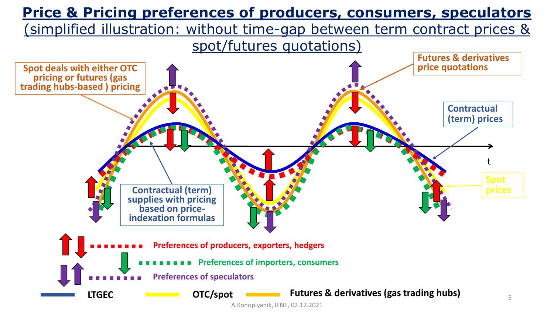

A.Konoplyanik, IENE, 02.12.2021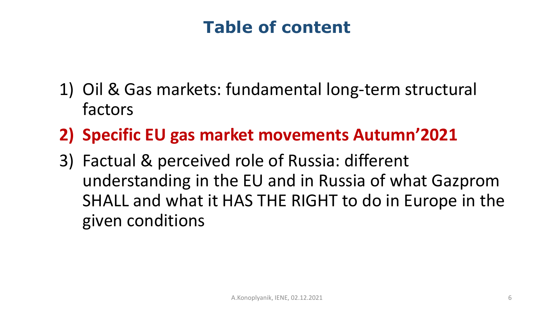# **Table of content**

- 1) Oil & Gas markets: fundamental long-term structural factors
- **2) Specific EU gas market movements Autumn'2021**
- 3) Factual & perceived role of Russia: different understanding in the EU and in Russia of what Gazprom SHALL and what it HAS THE RIGHT to do in Europe in the given conditions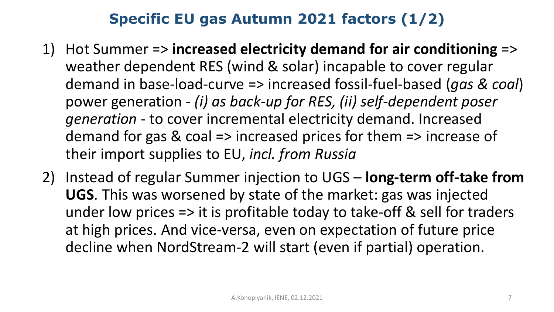### **Specific EU gas Autumn 2021 factors (1/2)**

- 1) Hot Summer => **increased electricity demand for air conditioning** => weather dependent RES (wind & solar) incapable to cover regular demand in base-load-curve => increased fossil-fuel-based (*gas & coal*) power generation - *(i) as back-up for RES, (ii) self-dependent poser generation* - to cover incremental electricity demand. Increased demand for gas & coal => increased prices for them => increase of their import supplies to EU, *incl. from Russia*
- 2) Instead of regular Summer injection to UGS **long-term off-take from UGS**. This was worsened by state of the market: gas was injected under low prices => it is profitable today to take-off & sell for traders at high prices. And vice-versa, even on expectation of future price decline when NordStream-2 will start (even if partial) operation.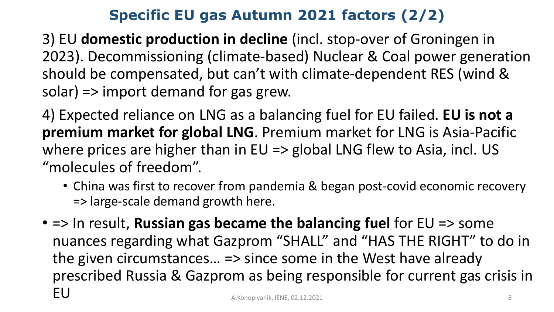#### **Specific EU gas Autumn 2021 factors (2/2)**

3) EU **domestic production in decline** (incl. stop-over of Groningen in 2023). Decommissioning (climate-based) Nuclear & Coal power generation should be compensated, but can't with climate-dependent RES (wind & solar) => import demand for gas grew.

4) Expected reliance on LNG as a balancing fuel for EU failed. **EU is not a premium market for global LNG**. Premium market for LNG is Asia-Pacific where prices are higher than in EU => global LNG flew to Asia, incl. US "molecules of freedom".

- China was first to recover from pandemia & began post-covid economic recovery => large-scale demand growth here.
- => In result, **Russian gas became the balancing fuel** for EU => some nuances regarding what Gazprom "SHALL" and "HAS THE RIGHT" to do in the given circumstances… => since some in the West have already prescribed Russia & Gazprom as being responsible for current gas crisis in EU A.Konoplyanik, IENE, 02.12.2021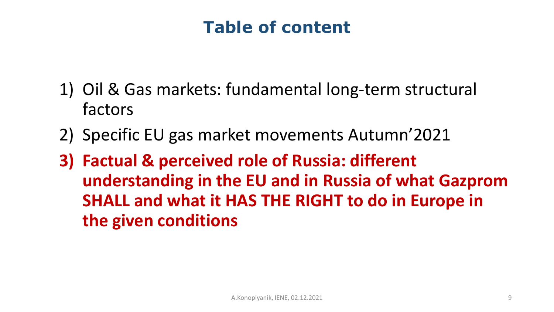# **Table of content**

- 1) Oil & Gas markets: fundamental long-term structural factors
- 2) Specific EU gas market movements Autumn'2021
- **3) Factual & perceived role of Russia: different understanding in the EU and in Russia of what Gazprom SHALL and what it HAS THE RIGHT to do in Europe in the given conditions**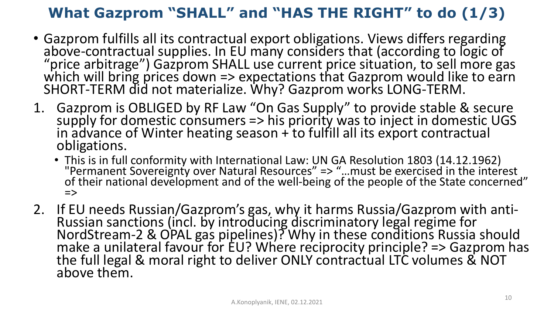### **What Gazprom "SHALL" and "HAS THE RIGHT" to do (1/3)**

- Gazprom fulfills all its contractual export obligations. Views differs regarding above-contractual supplies. In EU many considers that (according to logic of "price arbitrage") Gazprom SHALL use current price situation, to sell more gas which will bring prices down  $\Rightarrow$  expectations that Gazprom would like to earn SHORT-TERM did not materialize. Why? Gazprom works LONG-TERM.
- 1. Gazprom is OBLIGED by RF Law "On Gas Supply" to provide stable & secure supply for domestic consumers => his priority was to inject in domestic UGS in advance of Winter heating season  $+$  to fulfill all its export contractual obligations.
	- This is in full conformity with International Law: UN GA Resolution 1803 (14.12.1962) "Permanent Sovereignty over Natural Resources" => "…must be exercised in the interest of their national development and of the well-being of the people of the State concerned"  $\Rightarrow$
- 2. If EU needs Russian/Gazprom's gas, why it harms Russia/Gazprom with anti-Russian sanctions (incl. by introducing discriminatory legal regime for NordStream-2 & OPAL gas pipelines)? Why in these conditions Russia should make a unilateral favour for EU? Where reciprocity principle? => Gazprom has the full legal & moral right to deliver ONLY contractual LTC volumes & NOT above them.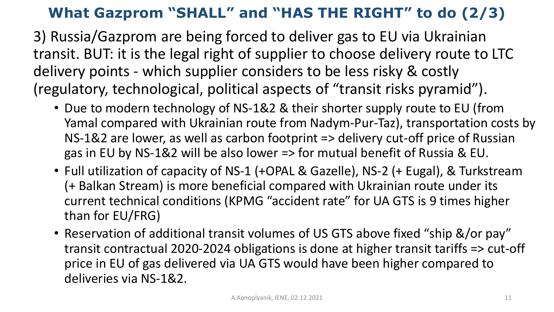### **What Gazprom "SHALL" and "HAS THE RIGHT" to do (2/3)**

3) Russia/Gazprom are being forced to deliver gas to EU via Ukrainian transit. BUT: it is the legal right of supplier to choose delivery route to LTC delivery points - which supplier considers to be less risky & costly (regulatory, technological, political aspects of "transit risks pyramid").

- Due to modern technology of NS-1&2 & their shorter supply route to EU (from Yamal compared with Ukrainian route from Nadym-Pur-Taz), transportation costs by NS-1&2 are lower, as well as carbon footprint => delivery cut-off price of Russian gas in EU by NS-1&2 will be also lower => for mutual benefit of Russia & EU.
- Full utilization of capacity of NS-1 (+OPAL & Gazelle), NS-2 (+ Eugal), & Turkstream (+ Balkan Stream) is more beneficial compared with Ukrainian route under its current technical conditions (KPMG "accident rate" for UA GTS is 9 times higher than for EU/FRG)
- Reservation of additional transit volumes of US GTS above fixed "ship &/or pay" transit contractual 2020-2024 obligations is done at higher transit tariffs => cut-off price in EU of gas delivered via UA GTS would have been higher compared to deliveries via NS-1&2.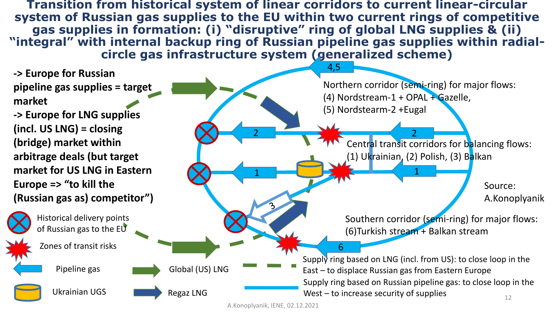**Transition from historical system of linear corridors to current linear-circular system of Russian gas supplies to the EU within two current rings of competitive gas supplies in formation: (i) "disruptive" ring of global LNG supplies & (ii) "integral" with internal backup ring of Russian pipeline gas supplies within radialcircle gas infrastructure system (generalized scheme)**

**-> Europe for Russian pipeline gas supplies = target market**

**-> Europe for LNG supplies (incl. US LNG) = closing (bridge) market within arbitrage deals (but target market for US LNG in Eastern Europe => "to kill the (Russian gas as) competitor")**

> Historical delivery points of Russian gas to the EU

Zones of transit risks

Pipeline gas

Ukrainian UGS

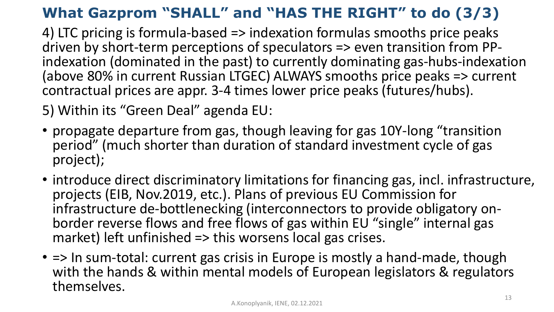## **What Gazprom "SHALL" and "HAS THE RIGHT" to do (3/3)**

4) LTC pricing is formula-based => indexation formulas smooths price peaks driven by short-term perceptions of speculators => even transition from PPindexation (dominated in the past) to currently dominating gas-hubs-indexation (above 80% in current Russian LTGEC) ALWAYS smooths price peaks => current contractual prices are appr. 3-4 times lower price peaks (futures/hubs).

5) Within its "Green Deal" agenda EU:

- propagate departure from gas, though leaving for gas 10Y-long "transition period" (much shorter than duration of standard investment cycle of gas project);
- introduce direct discriminatory limitations for financing gas, incl. infrastructure, projects (EIB, Nov.2019, etc.). Plans of previous EU Commission for infrastructure de-bottlenecking (interconnectors to provide obligatory onborder reverse flows and free flows of gas within EU "single" internal gas market) left unfinished => this worsens local gas crises.
- => In sum-total: current gas crisis in Europe is mostly a hand-made, though with the hands & within mental models of European legislators & regulators themselves.